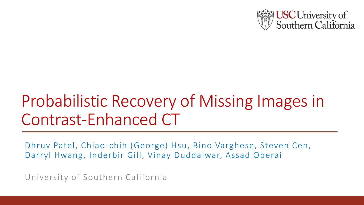

# Probabilistic Recovery of Missing Images in Contrast-Enhanced CT

Dhruv Patel, Chiao-chih (George) Hsu, Bino Varghese, Steven Cen, Darryl Hwang, Inderbir Gill, Vinay Duddalwar, Assad Oberai

University of Southern California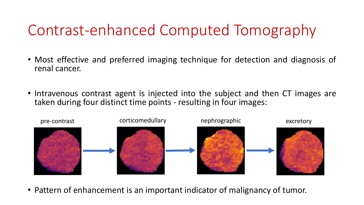## Contrast-enhanced Computed Tomography

- Most effective and preferred imaging technique for detection and diagnosis of renal cancer.
- Intravenous contrast agent is injected into the subject and then CT images are taken during four distinct time points - resulting in four images:



• Pattern of enhancement is an important indicator of malignancy of tumor.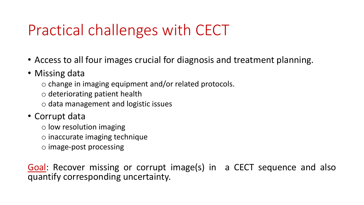## Practical challenges with CECT

- Access to all four images crucial for diagnosis and treatment planning.
- Missing data
	- o change in imaging equipment and/or related protocols.
	- o deteriorating patient health
	- o data management and logistic issues
- Corrupt data
	- o low resolution imaging
	- o inaccurate imaging technique
	- o image-post processing

Goal: Recover missing or corrupt image(s) in a CECT sequence and also quantify corresponding uncertainty.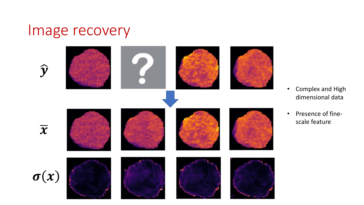#### Image recovery



- Complex and High dimensional data
- Presence of finescale feature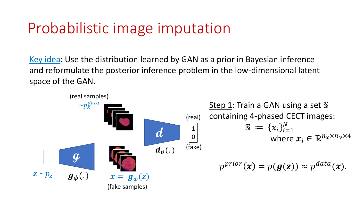## Probabilistic image imputation

Key idea: Use the distribution learned by GAN as a prior in Bayesian inference and reformulate the posterior inference problem in the low-dimensional latent space of the GAN.

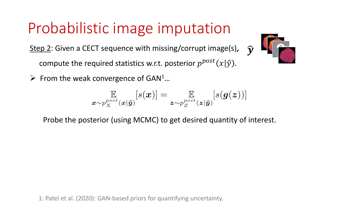## Probabilistic image imputation

Step 2: Given a CECT sequence with missing/corrupt image(s)**,**

compute the required statistics w.r.t. posterior  $p^{post}(x|\hat{y})$ .

 $\triangleright$  From the weak convergence of GAN<sup>1</sup>...



 $\widehat{\bm{\nu}}$ 

$$
\mathop{\mathbb{E}}_{\boldsymbol{x} \sim p_X^{post}(\boldsymbol{x}|\boldsymbol{\hat{y}})}[s(\boldsymbol{x})] = \mathop{\mathbb{E}}_{\boldsymbol{z} \sim p_Z^{post}(\boldsymbol{z}|\boldsymbol{\hat{y}})}[s(\boldsymbol{g}(\boldsymbol{z}))]
$$

Probe the posterior (using MCMC) to get desired quantity of interest.

1: Patel et al. (2020): GAN-based priors for quantifying uncertainty.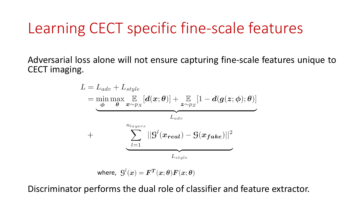#### Learning CECT specific fine-scale features

Adversarial loss alone will not ensure capturing fine-scale features unique to CECT imaging.

$$
L = L_{adv} + L_{style}
$$
\n
$$
= \min_{\boldsymbol{\phi}} \max_{\boldsymbol{\theta}} \mathbb{E}_{\boldsymbol{x} \sim p_{X}}[\boldsymbol{d}(\boldsymbol{x}; \boldsymbol{\theta})] + \mathbb{E}_{\boldsymbol{z} \sim p_{Z}}[1 - \boldsymbol{d}(\boldsymbol{g}(\boldsymbol{z}; \boldsymbol{\phi}); \boldsymbol{\theta})]
$$
\n
$$
L_{adv}
$$
\n
$$
+ \sum_{l=1}^{n_{layers}} ||\mathbf{G}^{l}(\boldsymbol{x_{real}}) - \mathbf{G}(\boldsymbol{x_{fake}})||^{2}
$$
\n
$$
L_{style}
$$

where,  $\mathcal{G}^{l}(x) = F^{T}(x; \theta) F(x; \theta)$ 

Discriminator performs the dual role of classifier and feature extractor.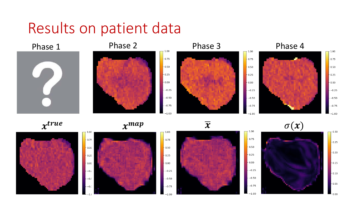#### Results on patient data





 $-0.75$ 

 $0.50$ 

 $-0.25$ 

 $-0.00$ 

 $-0.25$ 

 $-0.50$ 

 $-0.75$ 

 $^{-1.00}$ 

 $-0.75$ 

 $0.50$ 

 $0.25$ 

 $0.00 -$ 

 $-0.25$ 

 $-0.50$ 

 $-0.75$ 

 $-1.00$ 



 $x^{true}$   $x$ 







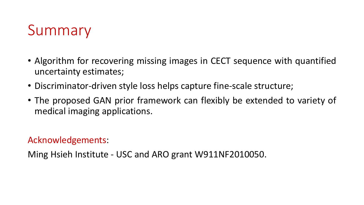## Summary

- Algorithm for recovering missing images in CECT sequence with quantified uncertainty estimates;
- Discriminator-driven style loss helps capture fine-scale structure;
- The proposed GAN prior framework can flexibly be extended to variety of medical imaging applications.

Acknowledgements:

Ming Hsieh Institute - USC and ARO grant W911NF2010050.